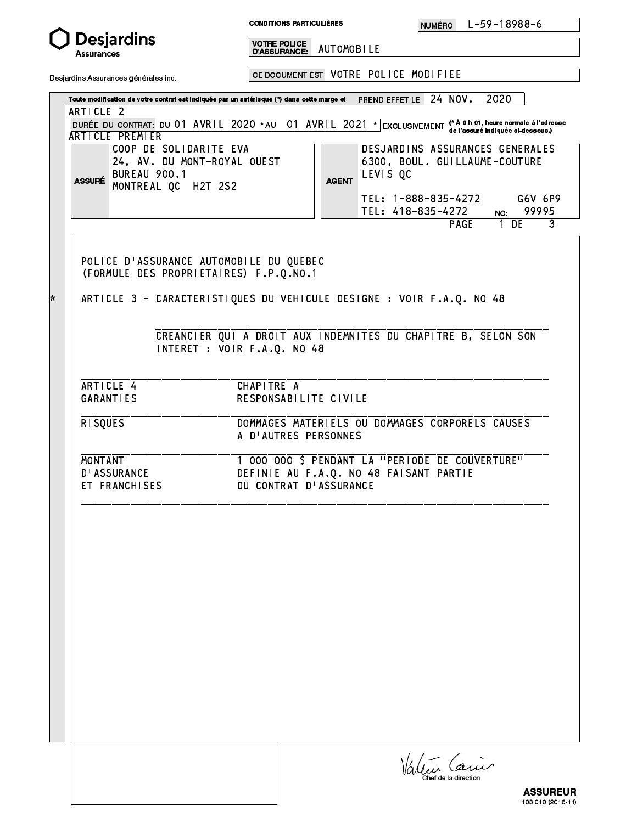

Ŷ.

**CONDITIONS PARTICULIÈRES** 

Assurances D'ASSURANCE: AUTOMOBILE

Desjardins Assurances générales inc.

CE DOCUMENT EST IN A RELATION OF THE CENTER OF THE CENTER OF THE CENTER OF THE CENTER OF THE CENTER OF THE CENT

Toute modification de votre contrat est indique par un astrisque (\*) dans cette marge et PREND EFFET LE 24 NOV. 2020 (\* DURÉE DU CONTRAT: DU 01 AVRIL 2020 \* AU 01 AVRIL 2021 \* EXCLUSIVEMENT (\* A 0 h 01, heure normale à l'adresse<br>D'Ale l'assuré indiquée ci-dessous.) ARTICLE 2 01 AVRIL 2020 01:00:00 02:00:00 02:00:00 02:00:00 02:00:00 02:00:00 02:00:00 02:00:00 02:00:00 02:00:00 02:00 ARTICLE PREMIER

ASSUR AGENT MONTREAL QC H2T 2S2 COOP DE SOLIDARITE EVA<br>
|| DESJARDINS ASSURANCES GENERALES 24, AV. DU MONT-ROYAL OUEST 6300, BOUL. GUILLAUME-COUTURE ASSURÉ BUREAU 900.1<br>ASSURÉ UNITEDIM ACCIDENT DES CONTRACTES DE LEVIS QUE

 TEL: 1-888-835-4272 G6V 6P9 TEL: 418-835-4272 NO: 99995  $\overline{3}$ 

 POLICE D'ASSURANCE AUTOMOBILE DU QUEBEC (FORMULE DES PROPRIETAIRES) F.P.Q.NO.1

ARTICLE 3 - CARACTERISTIQUES DU VEHICULE DESIGNE : VOIR F.A.Q. NO 48

 $\blacksquare$ 

\_\_\_\_\_\_\_\_\_\_\_\_\_\_\_\_\_\_\_\_\_\_\_\_\_\_\_\_\_\_\_\_\_\_\_\_\_\_\_\_\_\_\_\_\_\_\_\_\_\_\_\_\_\_\_\_\_\_\_\_\_\_\_\_\_\_\_\_\_\_\_\_\_\_\_

\_\_\_\_\_\_\_\_\_\_\_\_\_\_\_\_\_\_\_\_\_\_\_\_\_\_\_\_\_\_\_\_\_\_\_\_\_\_\_\_\_\_\_\_\_\_\_\_\_\_\_\_\_\_\_\_\_\_\_\_\_\_\_\_\_\_\_\_\_\_\_\_\_\_\_

\_\_\_\_\_\_\_\_\_\_\_\_\_\_\_\_\_\_\_\_\_\_\_\_\_\_\_\_\_\_\_\_\_\_\_\_\_\_\_\_\_\_\_\_\_\_\_\_\_\_\_\_\_\_\_\_\_\_\_\_\_\_\_\_\_\_\_\_\_\_\_\_\_\_\_

PAGE 1 DE 300 DE 300 DE 300 DE 300 DE 300 DE 300 DE 300 DE 300 DE 300 DE 300 DE 300 DE 300 DE 300 DE 300 DE 30

 CREANCIER QUI A DROIT AUX INDEMNITES DU CHAPITRE B, SELON SON INTERET : VOIR F.A.Q. NO 48

 ARTICLE 4 CHAPITRE A GARANTIES RESPONSABILITE CIVILE

 \_\_\_\_\_\_\_\_\_\_\_\_\_\_\_\_\_\_\_\_\_\_\_\_\_\_\_\_\_\_\_\_\_\_\_\_\_\_\_\_\_\_\_\_\_\_\_\_\_\_\_\_\_\_\_\_\_\_\_\_\_\_\_\_\_\_\_\_\_\_\_\_\_\_\_ RISQUES DOMMAGES MATERIELS OU DOMMAGES CORPORELS CAUSES A D'AUTRES PERSONNES

MONTANT 1 000 000 \$ PENDANT LA "PERIODE DE COUVERTURE" D'ASSURANCE DEFINIE AU F.A.Q. NO 48 FAISANT PARTIE ET FRANCHISES DU CONTRAT D'ASSURANCE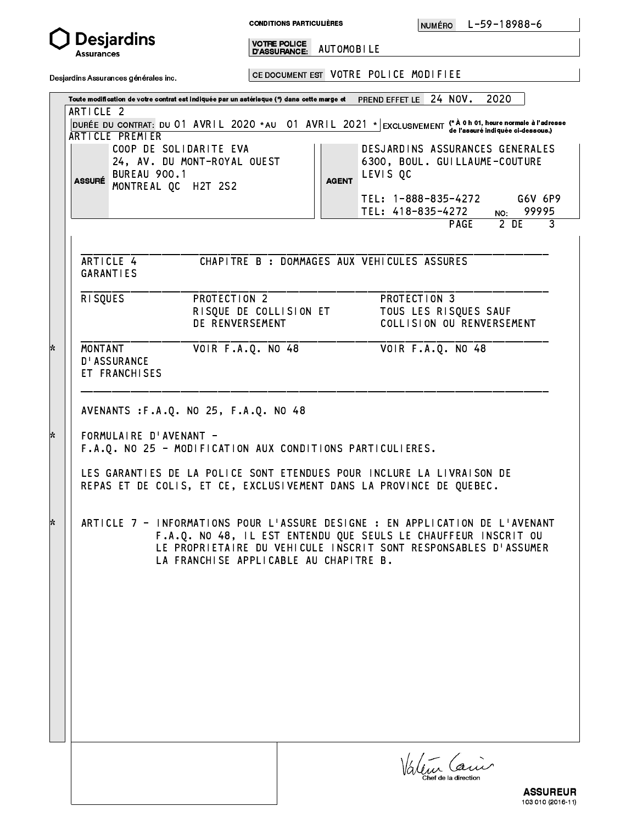

CONDITIONS PARTICULIÉRES

NUMÉRO

Assurances D'ASSURANCE: AUTOMOBILE

Desjardins Assurances générales inc.

CE DOCUMENT EST IN A RELATION OF THE CENTER OF THE CENTER OF THE CENTER OF THE CENTER OF THE CENTER OF THE CENT

Toute modification de votre contrat est indique par un astrisque (\*) dans cette marge et PREND EFFET LE 24 NOV. 2020

| <b>ARTICLE PREMIER</b><br><b>BUREAU 900.1</b><br><b>ASSURÉ</b> | COOP DE SOLIDARITE EVA<br>24, AV. DU MONT-ROYAL OUEST<br>MONTREAL QC H2T 2S2                                                                                                                                                                                                                                                                                      | <b>AGENT</b> | DESJARDINS ASSURANCES GENERALES<br>6300, BOUL. GUILLAUME-COUTURE<br>LEVIS OC<br>TEL: 1-888-835-4272 | de l'assuré indiquée ci-dessous.)<br>G6V 6P9 |
|----------------------------------------------------------------|-------------------------------------------------------------------------------------------------------------------------------------------------------------------------------------------------------------------------------------------------------------------------------------------------------------------------------------------------------------------|--------------|-----------------------------------------------------------------------------------------------------|----------------------------------------------|
|                                                                |                                                                                                                                                                                                                                                                                                                                                                   |              | TEL: 418-835-4272<br>PAGE                                                                           | NO: 99995<br>2 DE<br>$\mathbf{3}$            |
| ARTICLE 4<br><b>GARANTIES</b><br><b>RISQUES</b>                | PROTECTION 2                                                                                                                                                                                                                                                                                                                                                      |              | CHAPITRE B : DOMMAGES AUX VEHICULES ASSURES<br>PROTECTION 3                                         |                                              |
|                                                                | RISQUE DE COLLISION ET<br>DE RENVERSEMENT                                                                                                                                                                                                                                                                                                                         |              | TOUS LES RISQUES SAUF<br>COLLISION OU RENVERSEMENT                                                  |                                              |
| MONTANT<br><b>D'ASSURANCE</b><br>ET FRANCHISES                 | VOIR F.A.Q. NO 48                                                                                                                                                                                                                                                                                                                                                 |              | VOIR F.A.Q. NO 48                                                                                   |                                              |
|                                                                | FORMULAIRE D'AVENANT -<br>F.A.Q. NO 25 - MODIFICATION AUX CONDITIONS PARTICULIERES.                                                                                                                                                                                                                                                                               |              |                                                                                                     |                                              |
|                                                                | LES GARANTIES DE LA POLICE SONT ETENDUES POUR INCLURE LA LIVRAISON DE<br>REPAS ET DE COLIS, ET CE, EXCLUSIVEMENT DANS LA PROVINCE DE QUEBEC.<br>ARTICLE 7 - INFORMATIONS POUR L'ASSURE DESIGNE : EN APPLICATION DE L'AVENANT<br>F.A.Q. NO 48, IL EST ENTENDU QUE SEULS LE CHAUFFEUR INSCRIT OU<br>LE PROPRIETAIRE DU VEHICULE INSCRIT SONT RESPONSABLES D'ASSUMER |              |                                                                                                     |                                              |
|                                                                | LA FRANCHISE APPLICABLE AU CHAPITRE B.                                                                                                                                                                                                                                                                                                                            |              |                                                                                                     |                                              |
|                                                                |                                                                                                                                                                                                                                                                                                                                                                   |              |                                                                                                     |                                              |
|                                                                |                                                                                                                                                                                                                                                                                                                                                                   |              |                                                                                                     |                                              |

103 **010 021**